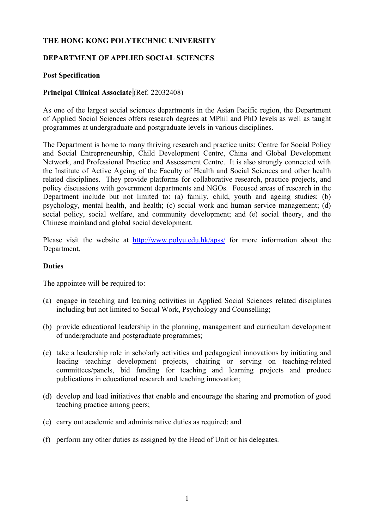# **THE HONG KONG POLYTECHNIC UNIVERSITY**

## **DEPARTMENT OF APPLIED SOCIAL SCIENCES**

### **Post Specification**

### **Principal Clinical Associate** (Ref. 22032408)

As one of the largest social sciences departments in the Asian Pacific region, the Department of Applied Social Sciences offers research degrees at MPhil and PhD levels as well as taught programmes at undergraduate and postgraduate levels in various disciplines.

The Department is home to many thriving research and practice units: Centre for Social Policy and Social Entrepreneurship, Child Development Centre, China and Global Development Network, and Professional Practice and Assessment Centre. It is also strongly connected with the Institute of Active Ageing of the Faculty of Health and Social Sciences and other health related disciplines. They provide platforms for collaborative research, practice projects, and policy discussions with government departments and NGOs. Focused areas of research in the Department include but not limited to: (a) family, child, youth and ageing studies; (b) psychology, mental health, and health; (c) social work and human service management; (d) social policy, social welfare, and community development; and (e) social theory, and the Chinese mainland and global social development.

Please visit the website at http://www.polyu.edu.hk/apss/ for more information about the Department.

#### **Duties**

The appointee will be required to:

- (a) engage in teaching and learning activities in Applied Social Sciences related disciplines including but not limited to Social Work, Psychology and Counselling;
- (b) provide educational leadership in the planning, management and curriculum development of undergraduate and postgraduate programmes;
- (c) take a leadership role in scholarly activities and pedagogical innovations by initiating and leading teaching development projects, chairing or serving on teaching-related committees/panels, bid funding for teaching and learning projects and produce publications in educational research and teaching innovation;
- (d) develop and lead initiatives that enable and encourage the sharing and promotion of good teaching practice among peers;
- (e) carry out academic and administrative duties as required; and
- (f) perform any other duties as assigned by the Head of Unit or his delegates.